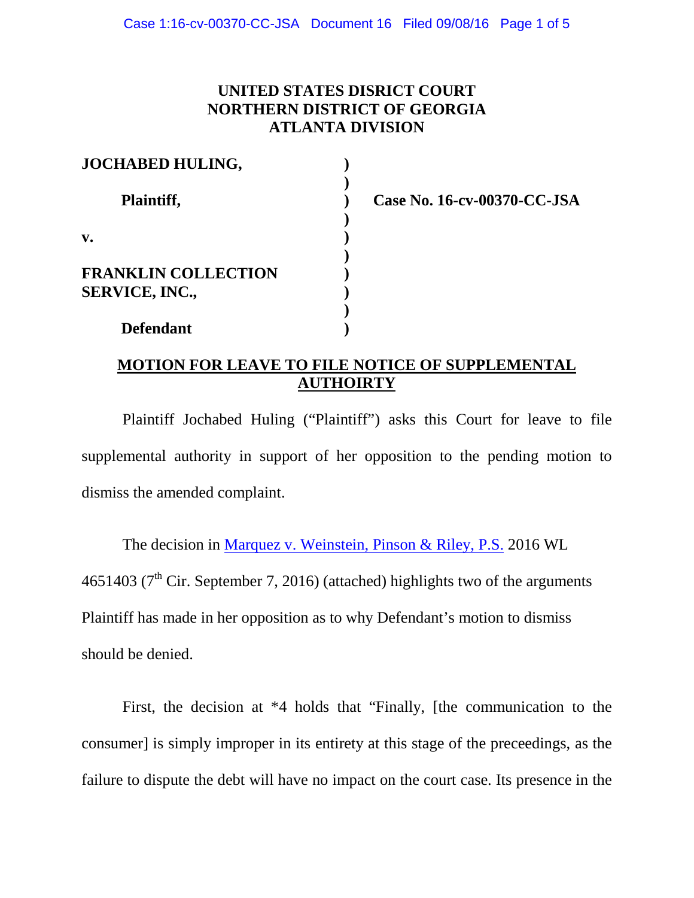### **UNITED STATES DISRICT COURT NORTHERN DISTRICT OF GEORGIA ATLANTA DIVISION**

| <b>JOCHABED HULING,</b>                             |  |
|-----------------------------------------------------|--|
| Plaintiff,                                          |  |
| v.                                                  |  |
| <b>FRANKLIN COLLECTION</b><br><b>SERVICE, INC.,</b> |  |
| <b>Defendant</b>                                    |  |

**Case No. 16-cv-00370-CC-JSA**

# **MOTION FOR LEAVE TO FILE NOTICE OF SUPPLEMENTAL AUTHOIRTY**

Plaintiff Jochabed Huling ("Plaintiff") asks this Court for leave to file supplemental authority in support of her opposition to the pending motion to dismiss the amended complaint.

The decision in [Marquez v. Weinstein, Pinson & Riley, P.S.](https://1.next.westlaw.com/Document/I1b8c6ac0756611e69981dc2250b07c82/View/FullText.html?listSource=Search&navigationPath=Search%2fv3%2fsearch%2fresults%2fnavigation%2fi0ad6ad3c000001570aafe9fc12faf065%3fNav%3dCASE%26fragmentIdentifier%3dI1b8c6ac0756611e69981dc2250b07c82%26startIndex%3d1%26contextData%3d%2528sc.Search%2529%26transitionType%3dSearchItem&list=CASE&rank=1&listPageSource=700fa35eb9aa9af6c4c04c5cff2529bd&originationContext=docHeader&contextData=%28sc.Search%29&transitionType=Document&needToInjectTerms=False&enableBestPortion=True&docSource=1c1a7587f73b4518a2d2770bba7cb845) 2016 WL 4651403 ( $7<sup>th</sup>$  Cir. September 7, 2016) (attached) highlights two of the arguments Plaintiff has made in her opposition as to why Defendant's motion to dismiss should be denied.

First, the decision at \*4 holds that "Finally, [the communication to the consumer] is simply improper in its entirety at this stage of the preceedings, as the failure to dispute the debt will have no impact on the court case. Its presence in the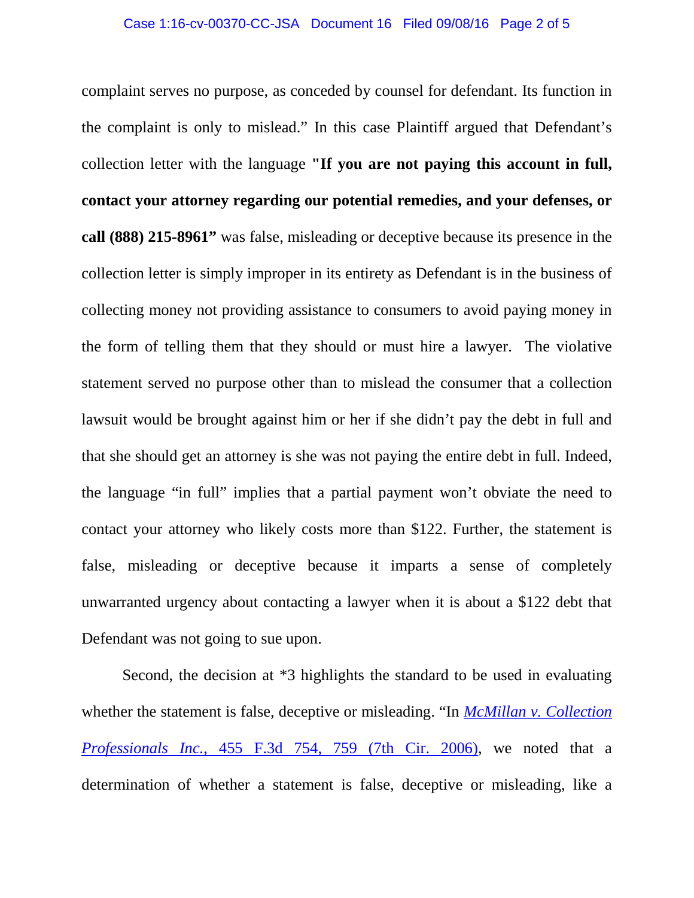complaint serves no purpose, as conceded by counsel for defendant. Its function in the complaint is only to mislead." In this case Plaintiff argued that Defendant's collection letter with the language **"If you are not paying this account in full, contact your attorney regarding our potential remedies, and your defenses, or call (888) 215-8961"** was false, misleading or deceptive because its presence in the collection letter is simply improper in its entirety as Defendant is in the business of collecting money not providing assistance to consumers to avoid paying money in the form of telling them that they should or must hire a lawyer. The violative statement served no purpose other than to mislead the consumer that a collection lawsuit would be brought against him or her if she didn't pay the debt in full and that she should get an attorney is she was not paying the entire debt in full. Indeed, the language "in full" implies that a partial payment won't obviate the need to contact your attorney who likely costs more than \$122. Further, the statement is false, misleading or deceptive because it imparts a sense of completely unwarranted urgency about contacting a lawyer when it is about a \$122 debt that Defendant was not going to sue upon.

Second, the decision at \*3 highlights the standard to be used in evaluating whether the statement is false, deceptive or misleading. "In *[McMillan v. Collection](https://1.next.westlaw.com/Link/Document/FullText?findType=Y&serNum=2009514786&pubNum=0000506&originatingDoc=I1b8c6ac0756611e69981dc2250b07c82&refType=RP&fi=co_pp_sp_506_759&originationContext=document&transitionType=DocumentItem&contextData=%28sc.Search%29#co_pp_sp_506_759)  Professionals Inc.*[, 455 F.3d 754, 759 \(7th Cir. 2006\),](https://1.next.westlaw.com/Link/Document/FullText?findType=Y&serNum=2009514786&pubNum=0000506&originatingDoc=I1b8c6ac0756611e69981dc2250b07c82&refType=RP&fi=co_pp_sp_506_759&originationContext=document&transitionType=DocumentItem&contextData=%28sc.Search%29#co_pp_sp_506_759) we noted that a determination of whether a statement is false, deceptive or misleading, like a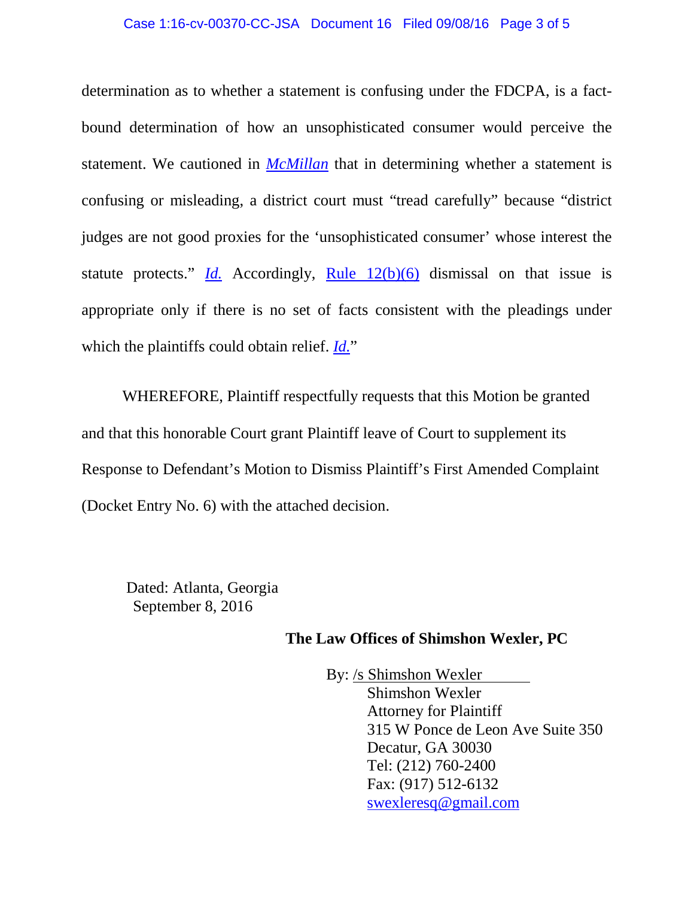#### Case 1:16-cv-00370-CC-JSA Document 16 Filed 09/08/16 Page 3 of 5

determination as to whether a statement is confusing under the FDCPA, is a factbound determination of how an unsophisticated consumer would perceive the statement. We cautioned in *[McMillan](https://1.next.westlaw.com/Link/Document/FullText?findType=Y&serNum=2009514786&pubNum=0000506&originatingDoc=I1b8c6ac0756611e69981dc2250b07c82&refType=RP&originationContext=document&transitionType=DocumentItem&contextData=%28sc.Search%29)* that in determining whether a statement is confusing or misleading, a district court must "tread carefully" because "district judges are not good proxies for the 'unsophisticated consumer' whose interest the statute protects."  $\underline{Id}$ . Accordingly, <u>[Rule 12\(b\)\(6\)](https://1.next.westlaw.com/Link/Document/FullText?findType=L&pubNum=1000600&cite=USFRCPR12&originatingDoc=I1b8c6ac0756611e69981dc2250b07c82&refType=LQ&originationContext=document&transitionType=DocumentItem&contextData=%28sc.Search%29)</u> dismissal on that issue is appropriate only if there is no set of facts consistent with the pleadings under which the plaintiffs could obtain relief. *[Id.](https://1.next.westlaw.com/Link/Document/FullText?findType=Y&serNum=2009514786&pubNum=0000506&originatingDoc=I1b8c6ac0756611e69981dc2250b07c82&refType=RP&originationContext=document&transitionType=DocumentItem&contextData=%28sc.Search%29)*"

WHEREFORE, Plaintiff respectfully requests that this Motion be granted and that this honorable Court grant Plaintiff leave of Court to supplement its Response to Defendant's Motion to Dismiss Plaintiff's First Amended Complaint (Docket Entry No. 6) with the attached decision.

Dated: Atlanta, Georgia September 8, 2016

### **The Law Offices of Shimshon Wexler, PC**

By: /s Shimshon Wexler Shimshon Wexler Attorney for Plaintiff 315 W Ponce de Leon Ave Suite 350 Decatur, GA 30030 Tel: (212) 760-2400 Fax: (917) 512-6132 [swexleresq@gmail.com](mailto:swexleresq@gmail.com)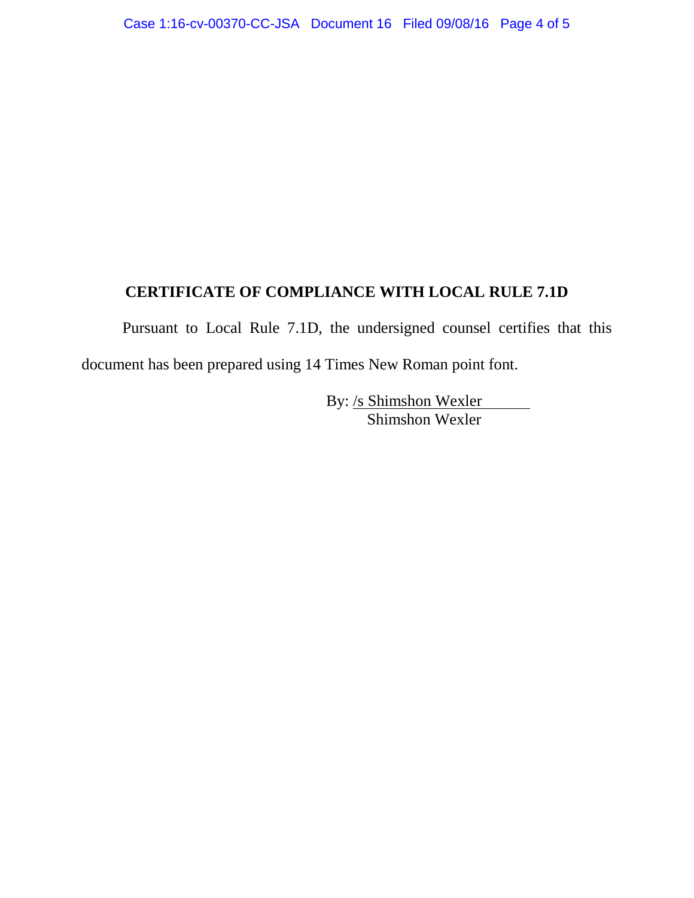## **CERTIFICATE OF COMPLIANCE WITH LOCAL RULE 7.1D**

Pursuant to Local Rule 7.1D, the undersigned counsel certifies that this document has been prepared using 14 Times New Roman point font.

> By: <u>/s Shimshon Wexler</u> Shimshon Wexler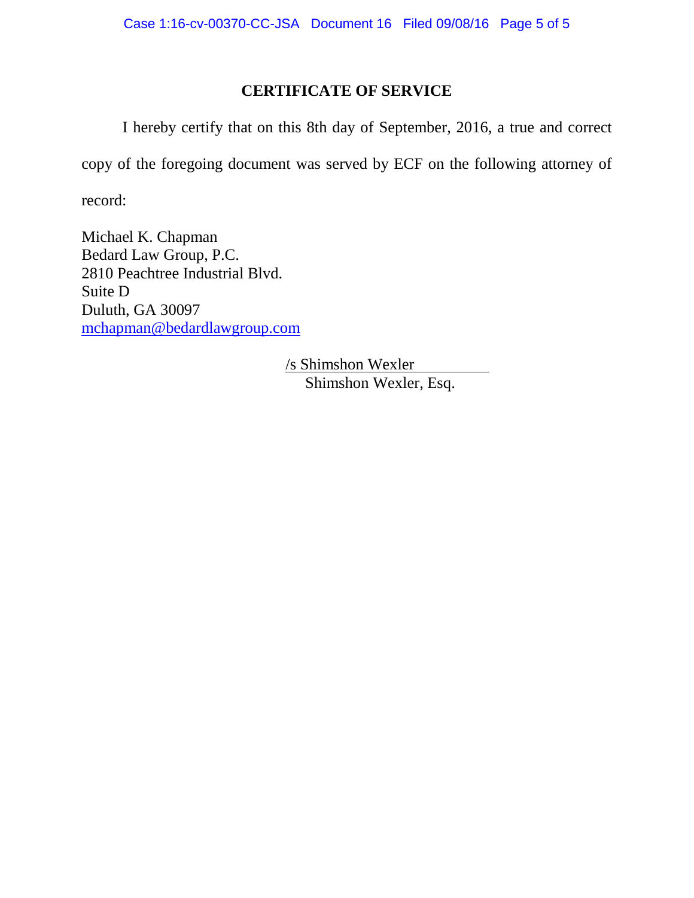## **CERTIFICATE OF SERVICE**

I hereby certify that on this 8th day of September, 2016, a true and correct copy of the foregoing document was served by ECF on the following attorney of record:

Michael K. Chapman Bedard Law Group, P.C. 2810 Peachtree Industrial Blvd. Suite D Duluth, GA 30097 [mchapman@bedardlawgroup.com](mailto:mchapman@bedardlawgroup.com)

> /s Shimshon Wexler Shimshon Wexler, Esq.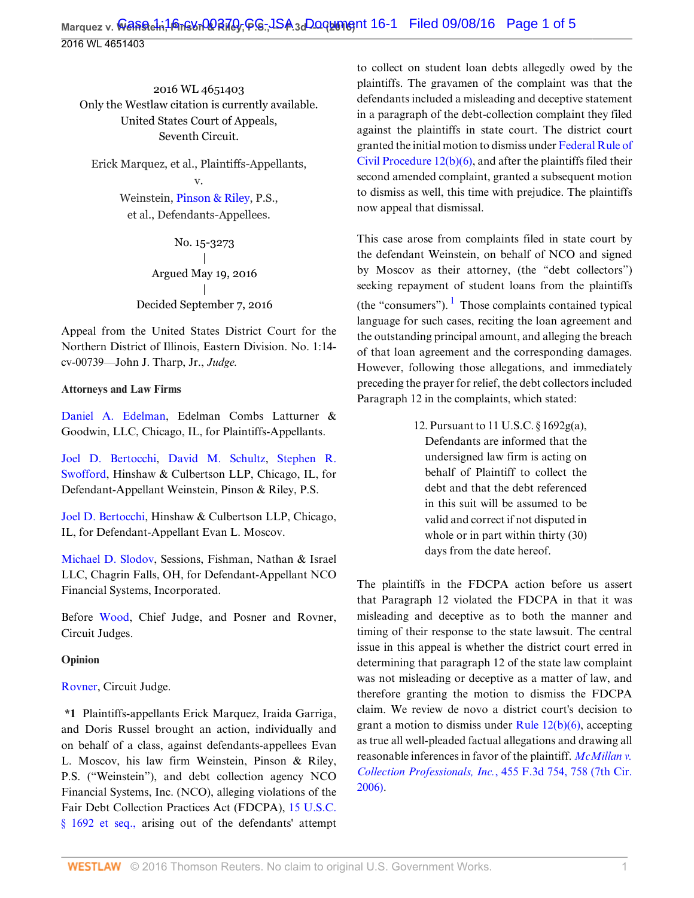2016 WL 4651403 Only the Westlaw citation is currently available. United States Court of Appeals, Seventh Circuit.

Erick Marquez, et al., Plaintiffs-Appellants, v.

> Weinstein, [Pinson & Riley,](http://www.westlaw.com/Search/Results.html?query=advanced%3a+OAID(5044582274)&saveJuris=False&contentType=BUSINESS-INVESTIGATOR&startIndex=1&contextData=(sc.Default)&categoryPageUrl=Home%2fCompanyInvestigator&originationContext=document&vr=3.0&rs=cblt1.0&transitionType=DocumentItem) P.S., et al., Defendants-Appellees.

> > No. 15-3273 | Argued May 19, 2016 | Decided September 7, 2016

Appeal from the United States District Court for the Northern District of Illinois, Eastern Division. No. 1:14 cv-00739—John J. Tharp, Jr., *Judge.*

### **Attorneys and Law Firms**

[Daniel A. Edelman](http://www.westlaw.com/Link/Document/FullText?findType=h&pubNum=176284&cite=0110846101&originatingDoc=I1b8c6ac0756611e69981dc2250b07c82&refType=RQ&originationContext=document&vr=3.0&rs=cblt1.0&transitionType=DocumentItem&contextData=(sc.UserEnteredCitation)), Edelman Combs Latturner & Goodwin, LLC, Chicago, IL, for Plaintiffs-Appellants.

[Joel D. Bertocchi](http://www.westlaw.com/Link/Document/FullText?findType=h&pubNum=176284&cite=0278859501&originatingDoc=I1b8c6ac0756611e69981dc2250b07c82&refType=RQ&originationContext=document&vr=3.0&rs=cblt1.0&transitionType=DocumentItem&contextData=(sc.UserEnteredCitation)), [David M. Schultz](http://www.westlaw.com/Link/Document/FullText?findType=h&pubNum=176284&cite=0207711001&originatingDoc=I1b8c6ac0756611e69981dc2250b07c82&refType=RQ&originationContext=document&vr=3.0&rs=cblt1.0&transitionType=DocumentItem&contextData=(sc.UserEnteredCitation)), [Stephen R.](http://www.westlaw.com/Link/Document/FullText?findType=h&pubNum=176284&cite=0155644101&originatingDoc=I1b8c6ac0756611e69981dc2250b07c82&refType=RQ&originationContext=document&vr=3.0&rs=cblt1.0&transitionType=DocumentItem&contextData=(sc.UserEnteredCitation)) [Swofford,](http://www.westlaw.com/Link/Document/FullText?findType=h&pubNum=176284&cite=0155644101&originatingDoc=I1b8c6ac0756611e69981dc2250b07c82&refType=RQ&originationContext=document&vr=3.0&rs=cblt1.0&transitionType=DocumentItem&contextData=(sc.UserEnteredCitation)) Hinshaw & Culbertson LLP, Chicago, IL, for Defendant-Appellant Weinstein, Pinson & Riley, P.S.

[Joel D. Bertocchi,](http://www.westlaw.com/Link/Document/FullText?findType=h&pubNum=176284&cite=0278859501&originatingDoc=I1b8c6ac0756611e69981dc2250b07c82&refType=RQ&originationContext=document&vr=3.0&rs=cblt1.0&transitionType=DocumentItem&contextData=(sc.UserEnteredCitation)) Hinshaw & Culbertson LLP, Chicago, IL, for Defendant-Appellant Evan L. Moscov.

[Michael D. Slodov,](http://www.westlaw.com/Link/Document/FullText?findType=h&pubNum=176284&cite=0100981601&originatingDoc=I1b8c6ac0756611e69981dc2250b07c82&refType=RQ&originationContext=document&vr=3.0&rs=cblt1.0&transitionType=DocumentItem&contextData=(sc.UserEnteredCitation)) Sessions, Fishman, Nathan & Israel LLC, Chagrin Falls, OH, for Defendant-Appellant NCO Financial Systems, Incorporated.

Before [Wood](http://www.westlaw.com/Link/Document/FullText?findType=h&pubNum=176284&cite=0248033701&originatingDoc=I1b8c6ac0756611e69981dc2250b07c82&refType=RQ&originationContext=document&vr=3.0&rs=cblt1.0&transitionType=DocumentItem&contextData=(sc.UserEnteredCitation)), Chief Judge, and Posner and Rovner, Circuit Judges.

### **Opinion**

### [Rovner,](http://www.westlaw.com/Link/Document/FullText?findType=h&pubNum=176284&cite=0201329001&originatingDoc=I1b8c6ac0756611e69981dc2250b07c82&refType=RQ&originationContext=document&vr=3.0&rs=cblt1.0&transitionType=DocumentItem&contextData=(sc.UserEnteredCitation)) Circuit Judge.

**\*1** Plaintiffs-appellants Erick Marquez, Iraida Garriga, and Doris Russel brought an action, individually and on behalf of a class, against defendants-appellees Evan L. Moscov, his law firm Weinstein, Pinson & Riley, P.S. ("Weinstein"), and debt collection agency NCO Financial Systems, Inc. (NCO), alleging violations of the Fair Debt Collection Practices Act (FDCPA), [15 U.S.C.](http://www.westlaw.com/Link/Document/FullText?findType=L&pubNum=1000546&cite=15USCAS1692&originatingDoc=I1b8c6ac0756611e69981dc2250b07c82&refType=LQ&originationContext=document&vr=3.0&rs=cblt1.0&transitionType=DocumentItem&contextData=(sc.UserEnteredCitation)) [§ 1692 et seq.,](http://www.westlaw.com/Link/Document/FullText?findType=L&pubNum=1000546&cite=15USCAS1692&originatingDoc=I1b8c6ac0756611e69981dc2250b07c82&refType=LQ&originationContext=document&vr=3.0&rs=cblt1.0&transitionType=DocumentItem&contextData=(sc.UserEnteredCitation)) arising out of the defendants' attempt

to collect on student loan debts allegedly owed by the plaintiffs. The gravamen of the complaint was that the defendants included a misleading and deceptive statement in a paragraph of the debt-collection complaint they filed against the plaintiffs in state court. The district court granted the initial motion to dismiss under [Federal Rule of](http://www.westlaw.com/Link/Document/FullText?findType=L&pubNum=1000600&cite=USFRCPR12&originatingDoc=I1b8c6ac0756611e69981dc2250b07c82&refType=LQ&originationContext=document&vr=3.0&rs=cblt1.0&transitionType=DocumentItem&contextData=(sc.UserEnteredCitation)) [Civil Procedure 12\(b\)\(6\),](http://www.westlaw.com/Link/Document/FullText?findType=L&pubNum=1000600&cite=USFRCPR12&originatingDoc=I1b8c6ac0756611e69981dc2250b07c82&refType=LQ&originationContext=document&vr=3.0&rs=cblt1.0&transitionType=DocumentItem&contextData=(sc.UserEnteredCitation)) and after the plaintiffs filed their second amended complaint, granted a subsequent motion to dismiss as well, this time with prejudice. The plaintiffs now appeal that dismissal.

<span id="page-5-0"></span>This case arose from complaints filed in state court by the defendant Weinstein, on behalf of NCO and signed by Moscov as their attorney, (the "debt collectors") seeking repayment of student loans from the plaintiffs (the "consumers").  $\frac{1}{1}$  $\frac{1}{1}$  $\frac{1}{1}$  Those complaints contained typical language for such cases, reciting the loan agreement and the outstanding principal amount, and alleging the breach of that loan agreement and the corresponding damages. However, following those allegations, and immediately preceding the prayer for relief, the debt collectors included Paragraph 12 in the complaints, which stated:

> 12. Pursuant to 11 U.S.C. § 1692g(a), Defendants are informed that the undersigned law firm is acting on behalf of Plaintiff to collect the debt and that the debt referenced in this suit will be assumed to be valid and correct if not disputed in whole or in part within thirty (30) days from the date hereof.

The plaintiffs in the FDCPA action before us assert that Paragraph 12 violated the FDCPA in that it was misleading and deceptive as to both the manner and timing of their response to the state lawsuit. The central issue in this appeal is whether the district court erred in determining that paragraph 12 of the state law complaint was not misleading or deceptive as a matter of law, and therefore granting the motion to dismiss the FDCPA claim. We review de novo a district court's decision to grant a motion to dismiss under Rule  $12(b)(6)$ , accepting as true all well-pleaded factual allegations and drawing all reasonable inferences in favor of the plaintiff. *[McMillan v.](http://www.westlaw.com/Link/Document/FullText?findType=Y&serNum=2009514786&pubNum=0000506&originatingDoc=I1b8c6ac0756611e69981dc2250b07c82&refType=RP&fi=co_pp_sp_506_758&originationContext=document&vr=3.0&rs=cblt1.0&transitionType=DocumentItem&contextData=(sc.UserEnteredCitation)#co_pp_sp_506_758) [Collection Professionals, Inc.](http://www.westlaw.com/Link/Document/FullText?findType=Y&serNum=2009514786&pubNum=0000506&originatingDoc=I1b8c6ac0756611e69981dc2250b07c82&refType=RP&fi=co_pp_sp_506_758&originationContext=document&vr=3.0&rs=cblt1.0&transitionType=DocumentItem&contextData=(sc.UserEnteredCitation)#co_pp_sp_506_758)*, 455 F.3d 754, 758 (7th Cir. [2006\)](http://www.westlaw.com/Link/Document/FullText?findType=Y&serNum=2009514786&pubNum=0000506&originatingDoc=I1b8c6ac0756611e69981dc2250b07c82&refType=RP&fi=co_pp_sp_506_758&originationContext=document&vr=3.0&rs=cblt1.0&transitionType=DocumentItem&contextData=(sc.UserEnteredCitation)#co_pp_sp_506_758).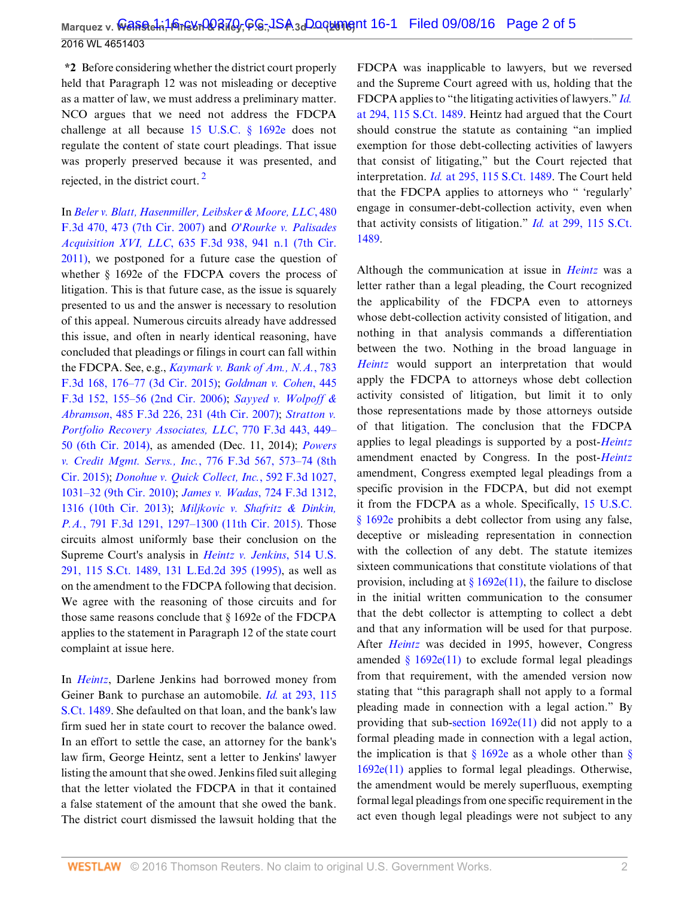**\*2** Before considering whether the district court properly held that Paragraph 12 was not misleading or deceptive as a matter of law, we must address a preliminary matter. NCO argues that we need not address the FDCPA challenge at all because [15 U.S.C. § 1692e](http://www.westlaw.com/Link/Document/FullText?findType=L&pubNum=1000546&cite=15USCAS1692E&originatingDoc=I1b8c6ac0756611e69981dc2250b07c82&refType=LQ&originationContext=document&vr=3.0&rs=cblt1.0&transitionType=DocumentItem&contextData=(sc.UserEnteredCitation)) does not regulate the content of state court pleadings. That issue was properly preserved because it was presented, and rejected, in the district court.<sup>[2](#page-9-1)</sup>

<span id="page-6-0"></span>In *[Beler v. Blatt, Hasenmiller, Leibsker & Moore, LLC](http://www.westlaw.com/Link/Document/FullText?findType=Y&serNum=2011617122&pubNum=0000506&originatingDoc=I1b8c6ac0756611e69981dc2250b07c82&refType=RP&fi=co_pp_sp_506_473&originationContext=document&vr=3.0&rs=cblt1.0&transitionType=DocumentItem&contextData=(sc.UserEnteredCitation)#co_pp_sp_506_473)*, 480 [F.3d 470, 473 \(7th Cir. 2007\)](http://www.westlaw.com/Link/Document/FullText?findType=Y&serNum=2011617122&pubNum=0000506&originatingDoc=I1b8c6ac0756611e69981dc2250b07c82&refType=RP&fi=co_pp_sp_506_473&originationContext=document&vr=3.0&rs=cblt1.0&transitionType=DocumentItem&contextData=(sc.UserEnteredCitation)#co_pp_sp_506_473) and *[O'Rourke v. Palisades](http://www.westlaw.com/Link/Document/FullText?findType=Y&serNum=2024801983&pubNum=0000506&originatingDoc=I1b8c6ac0756611e69981dc2250b07c82&refType=RP&fi=co_pp_sp_506_941&originationContext=document&vr=3.0&rs=cblt1.0&transitionType=DocumentItem&contextData=(sc.UserEnteredCitation)#co_pp_sp_506_941) Acquisition XVI, LLC*[, 635 F.3d 938, 941 n.1 \(7th Cir.](http://www.westlaw.com/Link/Document/FullText?findType=Y&serNum=2024801983&pubNum=0000506&originatingDoc=I1b8c6ac0756611e69981dc2250b07c82&refType=RP&fi=co_pp_sp_506_941&originationContext=document&vr=3.0&rs=cblt1.0&transitionType=DocumentItem&contextData=(sc.UserEnteredCitation)#co_pp_sp_506_941) [2011\)](http://www.westlaw.com/Link/Document/FullText?findType=Y&serNum=2024801983&pubNum=0000506&originatingDoc=I1b8c6ac0756611e69981dc2250b07c82&refType=RP&fi=co_pp_sp_506_941&originationContext=document&vr=3.0&rs=cblt1.0&transitionType=DocumentItem&contextData=(sc.UserEnteredCitation)#co_pp_sp_506_941), we postponed for a future case the question of whether § 1692e of the FDCPA covers the process of litigation. This is that future case, as the issue is squarely presented to us and the answer is necessary to resolution of this appeal. Numerous circuits already have addressed this issue, and often in nearly identical reasoning, have concluded that pleadings or filings in court can fall within the FDCPA. See, e.g., *[Kaymark v. Bank of Am., N.A.](http://www.westlaw.com/Link/Document/FullText?findType=Y&serNum=2035761557&pubNum=0000506&originatingDoc=I1b8c6ac0756611e69981dc2250b07c82&refType=RP&fi=co_pp_sp_506_176&originationContext=document&vr=3.0&rs=cblt1.0&transitionType=DocumentItem&contextData=(sc.UserEnteredCitation)#co_pp_sp_506_176)*, 783 [F.3d 168, 176–77 \(3d Cir. 2015\);](http://www.westlaw.com/Link/Document/FullText?findType=Y&serNum=2035761557&pubNum=0000506&originatingDoc=I1b8c6ac0756611e69981dc2250b07c82&refType=RP&fi=co_pp_sp_506_176&originationContext=document&vr=3.0&rs=cblt1.0&transitionType=DocumentItem&contextData=(sc.UserEnteredCitation)#co_pp_sp_506_176) *[Goldman v. Cohen](http://www.westlaw.com/Link/Document/FullText?findType=Y&serNum=2008906222&pubNum=0000506&originatingDoc=I1b8c6ac0756611e69981dc2250b07c82&refType=RP&fi=co_pp_sp_506_155&originationContext=document&vr=3.0&rs=cblt1.0&transitionType=DocumentItem&contextData=(sc.UserEnteredCitation)#co_pp_sp_506_155)*, 445 [F.3d 152, 155–56 \(2nd Cir. 2006\);](http://www.westlaw.com/Link/Document/FullText?findType=Y&serNum=2008906222&pubNum=0000506&originatingDoc=I1b8c6ac0756611e69981dc2250b07c82&refType=RP&fi=co_pp_sp_506_155&originationContext=document&vr=3.0&rs=cblt1.0&transitionType=DocumentItem&contextData=(sc.UserEnteredCitation)#co_pp_sp_506_155) *[Sayyed v. Wolpoff &](http://www.westlaw.com/Link/Document/FullText?findType=Y&serNum=2012204384&pubNum=0000506&originatingDoc=I1b8c6ac0756611e69981dc2250b07c82&refType=RP&fi=co_pp_sp_506_231&originationContext=document&vr=3.0&rs=cblt1.0&transitionType=DocumentItem&contextData=(sc.UserEnteredCitation)#co_pp_sp_506_231) Abramson*[, 485 F.3d 226, 231 \(4th Cir. 2007\)](http://www.westlaw.com/Link/Document/FullText?findType=Y&serNum=2012204384&pubNum=0000506&originatingDoc=I1b8c6ac0756611e69981dc2250b07c82&refType=RP&fi=co_pp_sp_506_231&originationContext=document&vr=3.0&rs=cblt1.0&transitionType=DocumentItem&contextData=(sc.UserEnteredCitation)#co_pp_sp_506_231); *[Stratton v.](http://www.westlaw.com/Link/Document/FullText?findType=Y&serNum=2034667208&pubNum=0000506&originatingDoc=I1b8c6ac0756611e69981dc2250b07c82&refType=RP&fi=co_pp_sp_506_449&originationContext=document&vr=3.0&rs=cblt1.0&transitionType=DocumentItem&contextData=(sc.UserEnteredCitation)#co_pp_sp_506_449) [Portfolio Recovery Associates, LLC](http://www.westlaw.com/Link/Document/FullText?findType=Y&serNum=2034667208&pubNum=0000506&originatingDoc=I1b8c6ac0756611e69981dc2250b07c82&refType=RP&fi=co_pp_sp_506_449&originationContext=document&vr=3.0&rs=cblt1.0&transitionType=DocumentItem&contextData=(sc.UserEnteredCitation)#co_pp_sp_506_449)*, 770 F.3d 443, 449– [50 \(6th Cir. 2014\)](http://www.westlaw.com/Link/Document/FullText?findType=Y&serNum=2034667208&pubNum=0000506&originatingDoc=I1b8c6ac0756611e69981dc2250b07c82&refType=RP&fi=co_pp_sp_506_449&originationContext=document&vr=3.0&rs=cblt1.0&transitionType=DocumentItem&contextData=(sc.UserEnteredCitation)#co_pp_sp_506_449), as amended (Dec. 11, 2014); *[Powers](http://www.westlaw.com/Link/Document/FullText?findType=Y&serNum=2035260338&pubNum=0000506&originatingDoc=I1b8c6ac0756611e69981dc2250b07c82&refType=RP&fi=co_pp_sp_506_573&originationContext=document&vr=3.0&rs=cblt1.0&transitionType=DocumentItem&contextData=(sc.UserEnteredCitation)#co_pp_sp_506_573) [v. Credit Mgmt. Servs., Inc.](http://www.westlaw.com/Link/Document/FullText?findType=Y&serNum=2035260338&pubNum=0000506&originatingDoc=I1b8c6ac0756611e69981dc2250b07c82&refType=RP&fi=co_pp_sp_506_573&originationContext=document&vr=3.0&rs=cblt1.0&transitionType=DocumentItem&contextData=(sc.UserEnteredCitation)#co_pp_sp_506_573)*, 776 F.3d 567, 573–74 (8th [Cir. 2015\)](http://www.westlaw.com/Link/Document/FullText?findType=Y&serNum=2035260338&pubNum=0000506&originatingDoc=I1b8c6ac0756611e69981dc2250b07c82&refType=RP&fi=co_pp_sp_506_573&originationContext=document&vr=3.0&rs=cblt1.0&transitionType=DocumentItem&contextData=(sc.UserEnteredCitation)#co_pp_sp_506_573); *[Donohue v. Quick Collect, Inc.](http://www.westlaw.com/Link/Document/FullText?findType=Y&serNum=2021099267&pubNum=0000506&originatingDoc=I1b8c6ac0756611e69981dc2250b07c82&refType=RP&fi=co_pp_sp_506_1031&originationContext=document&vr=3.0&rs=cblt1.0&transitionType=DocumentItem&contextData=(sc.UserEnteredCitation)#co_pp_sp_506_1031)*, 592 F.3d 1027, [1031–32 \(9th Cir. 2010\);](http://www.westlaw.com/Link/Document/FullText?findType=Y&serNum=2021099267&pubNum=0000506&originatingDoc=I1b8c6ac0756611e69981dc2250b07c82&refType=RP&fi=co_pp_sp_506_1031&originationContext=document&vr=3.0&rs=cblt1.0&transitionType=DocumentItem&contextData=(sc.UserEnteredCitation)#co_pp_sp_506_1031) *James v. Wadas*[, 724 F.3d 1312,](http://www.westlaw.com/Link/Document/FullText?findType=Y&serNum=2031192873&pubNum=0000506&originatingDoc=I1b8c6ac0756611e69981dc2250b07c82&refType=RP&fi=co_pp_sp_506_1316&originationContext=document&vr=3.0&rs=cblt1.0&transitionType=DocumentItem&contextData=(sc.UserEnteredCitation)#co_pp_sp_506_1316) [1316 \(10th Cir. 2013\);](http://www.westlaw.com/Link/Document/FullText?findType=Y&serNum=2031192873&pubNum=0000506&originatingDoc=I1b8c6ac0756611e69981dc2250b07c82&refType=RP&fi=co_pp_sp_506_1316&originationContext=document&vr=3.0&rs=cblt1.0&transitionType=DocumentItem&contextData=(sc.UserEnteredCitation)#co_pp_sp_506_1316) *[Miljkovic v. Shafritz & Dinkin,](http://www.westlaw.com/Link/Document/FullText?findType=Y&serNum=2036575875&pubNum=0000506&originatingDoc=I1b8c6ac0756611e69981dc2250b07c82&refType=RP&fi=co_pp_sp_506_1297&originationContext=document&vr=3.0&rs=cblt1.0&transitionType=DocumentItem&contextData=(sc.UserEnteredCitation)#co_pp_sp_506_1297) P.A.*[, 791 F.3d 1291, 1297–1300 \(11th Cir. 2015\).](http://www.westlaw.com/Link/Document/FullText?findType=Y&serNum=2036575875&pubNum=0000506&originatingDoc=I1b8c6ac0756611e69981dc2250b07c82&refType=RP&fi=co_pp_sp_506_1297&originationContext=document&vr=3.0&rs=cblt1.0&transitionType=DocumentItem&contextData=(sc.UserEnteredCitation)#co_pp_sp_506_1297) Those circuits almost uniformly base their conclusion on the Supreme Court's analysis in *[Heintz v. Jenkins](http://www.westlaw.com/Link/Document/FullText?findType=Y&serNum=1995090336&pubNum=0000780&originatingDoc=I1b8c6ac0756611e69981dc2250b07c82&refType=RP&originationContext=document&vr=3.0&rs=cblt1.0&transitionType=DocumentItem&contextData=(sc.UserEnteredCitation))*, 514 U.S. [291, 115 S.Ct. 1489, 131 L.Ed.2d 395 \(1995\)](http://www.westlaw.com/Link/Document/FullText?findType=Y&serNum=1995090336&pubNum=0000780&originatingDoc=I1b8c6ac0756611e69981dc2250b07c82&refType=RP&originationContext=document&vr=3.0&rs=cblt1.0&transitionType=DocumentItem&contextData=(sc.UserEnteredCitation)), as well as on the amendment to the FDCPA following that decision. We agree with the reasoning of those circuits and for those same reasons conclude that § 1692e of the FDCPA applies to the statement in Paragraph 12 of the state court complaint at issue here.

In *[Heintz](http://www.westlaw.com/Link/Document/FullText?findType=Y&serNum=1995090336&pubNum=0000780&originatingDoc=I1b8c6ac0756611e69981dc2250b07c82&refType=RP&originationContext=document&vr=3.0&rs=cblt1.0&transitionType=DocumentItem&contextData=(sc.UserEnteredCitation))*, Darlene Jenkins had borrowed money from Geiner Bank to purchase an automobile. *Id.* [at 293, 115](http://www.westlaw.com/Link/Document/FullText?findType=Y&serNum=1995090336&pubNum=0000708&originatingDoc=I1b8c6ac0756611e69981dc2250b07c82&refType=RP&fi=co_pp_sp_708_293&originationContext=document&vr=3.0&rs=cblt1.0&transitionType=DocumentItem&contextData=(sc.UserEnteredCitation)#co_pp_sp_708_293) [S.Ct. 1489.](http://www.westlaw.com/Link/Document/FullText?findType=Y&serNum=1995090336&pubNum=0000708&originatingDoc=I1b8c6ac0756611e69981dc2250b07c82&refType=RP&fi=co_pp_sp_708_293&originationContext=document&vr=3.0&rs=cblt1.0&transitionType=DocumentItem&contextData=(sc.UserEnteredCitation)#co_pp_sp_708_293) She defaulted on that loan, and the bank's law firm sued her in state court to recover the balance owed. In an effort to settle the case, an attorney for the bank's law firm, George Heintz, sent a letter to Jenkins' lawyer listing the amount that she owed. Jenkins filed suit alleging that the letter violated the FDCPA in that it contained a false statement of the amount that she owed the bank. The district court dismissed the lawsuit holding that the FDCPA was inapplicable to lawyers, but we reversed and the Supreme Court agreed with us, holding that the FDCPA applies to "the litigating activities of lawyers." *[Id.](http://www.westlaw.com/Link/Document/FullText?findType=Y&serNum=1995090336&pubNum=0000708&originatingDoc=I1b8c6ac0756611e69981dc2250b07c82&refType=RP&fi=co_pp_sp_708_294&originationContext=document&vr=3.0&rs=cblt1.0&transitionType=DocumentItem&contextData=(sc.UserEnteredCitation)#co_pp_sp_708_294)* [at 294, 115 S.Ct. 1489.](http://www.westlaw.com/Link/Document/FullText?findType=Y&serNum=1995090336&pubNum=0000708&originatingDoc=I1b8c6ac0756611e69981dc2250b07c82&refType=RP&fi=co_pp_sp_708_294&originationContext=document&vr=3.0&rs=cblt1.0&transitionType=DocumentItem&contextData=(sc.UserEnteredCitation)#co_pp_sp_708_294) Heintz had argued that the Court should construe the statute as containing "an implied exemption for those debt-collecting activities of lawyers that consist of litigating," but the Court rejected that interpretation. *Id.* [at 295, 115 S.Ct. 1489](http://www.westlaw.com/Link/Document/FullText?findType=Y&serNum=1995090336&pubNum=0000708&originatingDoc=I1b8c6ac0756611e69981dc2250b07c82&refType=RP&fi=co_pp_sp_708_295&originationContext=document&vr=3.0&rs=cblt1.0&transitionType=DocumentItem&contextData=(sc.UserEnteredCitation)#co_pp_sp_708_295). The Court held that the FDCPA applies to attorneys who " 'regularly' engage in consumer-debt-collection activity, even when that activity consists of litigation." *Id.* [at 299, 115 S.Ct.](http://www.westlaw.com/Link/Document/FullText?findType=Y&serNum=1995090336&pubNum=0000708&originatingDoc=I1b8c6ac0756611e69981dc2250b07c82&refType=RP&fi=co_pp_sp_708_299&originationContext=document&vr=3.0&rs=cblt1.0&transitionType=DocumentItem&contextData=(sc.UserEnteredCitation)#co_pp_sp_708_299) [1489](http://www.westlaw.com/Link/Document/FullText?findType=Y&serNum=1995090336&pubNum=0000708&originatingDoc=I1b8c6ac0756611e69981dc2250b07c82&refType=RP&fi=co_pp_sp_708_299&originationContext=document&vr=3.0&rs=cblt1.0&transitionType=DocumentItem&contextData=(sc.UserEnteredCitation)#co_pp_sp_708_299).

Although the communication at issue in *[Heintz](http://www.westlaw.com/Link/Document/FullText?findType=Y&serNum=1995090336&pubNum=0000780&originatingDoc=I1b8c6ac0756611e69981dc2250b07c82&refType=RP&originationContext=document&vr=3.0&rs=cblt1.0&transitionType=DocumentItem&contextData=(sc.UserEnteredCitation))* was a letter rather than a legal pleading, the Court recognized the applicability of the FDCPA even to attorneys whose debt-collection activity consisted of litigation, and nothing in that analysis commands a differentiation between the two. Nothing in the broad language in *[Heintz](http://www.westlaw.com/Link/Document/FullText?findType=Y&serNum=1995090336&pubNum=0000780&originatingDoc=I1b8c6ac0756611e69981dc2250b07c82&refType=RP&originationContext=document&vr=3.0&rs=cblt1.0&transitionType=DocumentItem&contextData=(sc.UserEnteredCitation))* would support an interpretation that would apply the FDCPA to attorneys whose debt collection activity consisted of litigation, but limit it to only those representations made by those attorneys outside of that litigation. The conclusion that the FDCPA applies to legal pleadings is supported by a post-*[Heintz](http://www.westlaw.com/Link/Document/FullText?findType=Y&serNum=1995090336&pubNum=0000780&originatingDoc=I1b8c6ac0756611e69981dc2250b07c82&refType=RP&originationContext=document&vr=3.0&rs=cblt1.0&transitionType=DocumentItem&contextData=(sc.UserEnteredCitation))* amendment enacted by Congress. In the post-*[Heintz](http://www.westlaw.com/Link/Document/FullText?findType=Y&serNum=1995090336&pubNum=0000780&originatingDoc=I1b8c6ac0756611e69981dc2250b07c82&refType=RP&originationContext=document&vr=3.0&rs=cblt1.0&transitionType=DocumentItem&contextData=(sc.UserEnteredCitation))* amendment, Congress exempted legal pleadings from a specific provision in the FDCPA, but did not exempt it from the FDCPA as a whole. Specifically, [15 U.S.C.](http://www.westlaw.com/Link/Document/FullText?findType=L&pubNum=1000546&cite=15USCAS1692E&originatingDoc=I1b8c6ac0756611e69981dc2250b07c82&refType=LQ&originationContext=document&vr=3.0&rs=cblt1.0&transitionType=DocumentItem&contextData=(sc.UserEnteredCitation)) [§ 1692e](http://www.westlaw.com/Link/Document/FullText?findType=L&pubNum=1000546&cite=15USCAS1692E&originatingDoc=I1b8c6ac0756611e69981dc2250b07c82&refType=LQ&originationContext=document&vr=3.0&rs=cblt1.0&transitionType=DocumentItem&contextData=(sc.UserEnteredCitation)) prohibits a debt collector from using any false, deceptive or misleading representation in connection with the collection of any debt. The statute itemizes sixteen communications that constitute violations of that provision, including at  $\S 1692e(11)$ , the failure to disclose in the initial written communication to the consumer that the debt collector is attempting to collect a debt and that any information will be used for that purpose. After *[Heintz](http://www.westlaw.com/Link/Document/FullText?findType=Y&serNum=1995090336&pubNum=0000780&originatingDoc=I1b8c6ac0756611e69981dc2250b07c82&refType=RP&originationContext=document&vr=3.0&rs=cblt1.0&transitionType=DocumentItem&contextData=(sc.UserEnteredCitation))* was decided in 1995, however, Congress amended  $§$  1692e(11) to exclude formal legal pleadings from that requirement, with the amended version now stating that "this paragraph shall not apply to a formal pleading made in connection with a legal action." By providing that sub-section  $1692e(11)$  did not apply to a formal pleading made in connection with a legal action, the implication is that  $\S$  1692e as a whole other than  $\S$ [1692e\(11\)](http://www.westlaw.com/Link/Document/FullText?findType=L&pubNum=1000546&cite=15USCAS1692E&originatingDoc=I1b8c6ac0756611e69981dc2250b07c82&refType=SP&originationContext=document&vr=3.0&rs=cblt1.0&transitionType=DocumentItem&contextData=(sc.UserEnteredCitation)#co_pp_9da60000c3824) applies to formal legal pleadings. Otherwise, the amendment would be merely superfluous, exempting formal legal pleadings from one specific requirement in the act even though legal pleadings were not subject to any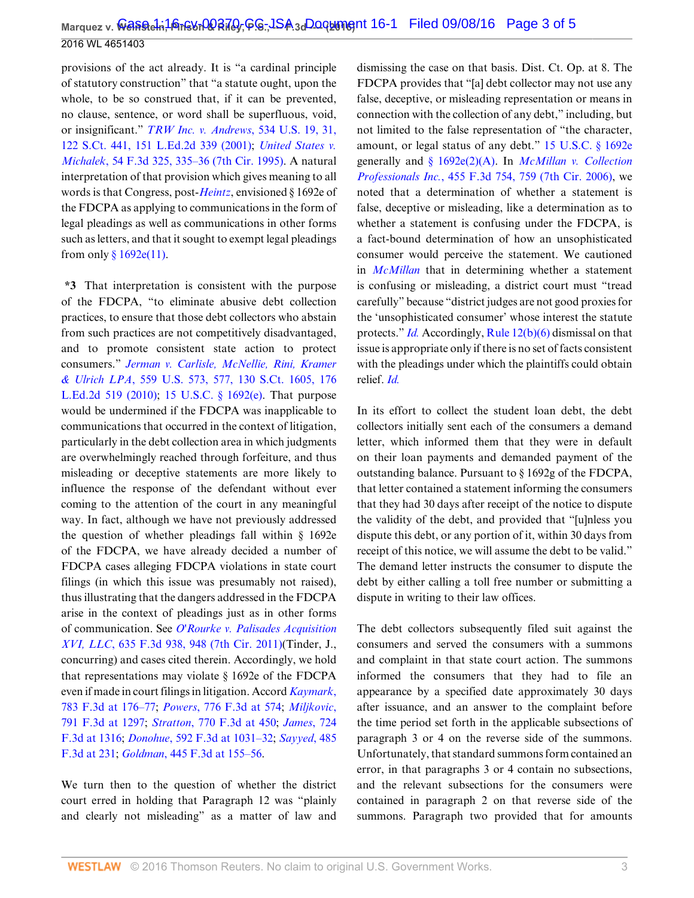provisions of the act already. It is "a cardinal principle of statutory construction" that "a statute ought, upon the whole, to be so construed that, if it can be prevented, no clause, sentence, or word shall be superfluous, void, or insignificant." *[TRW Inc. v. Andrews](http://www.westlaw.com/Link/Document/FullText?findType=Y&serNum=2001947996&pubNum=0000780&originatingDoc=I1b8c6ac0756611e69981dc2250b07c82&refType=RP&fi=co_pp_sp_780_31&originationContext=document&vr=3.0&rs=cblt1.0&transitionType=DocumentItem&contextData=(sc.UserEnteredCitation)#co_pp_sp_780_31)*, 534 U.S. 19, 31, [122 S.Ct. 441, 151 L.Ed.2d 339 \(2001\);](http://www.westlaw.com/Link/Document/FullText?findType=Y&serNum=2001947996&pubNum=0000780&originatingDoc=I1b8c6ac0756611e69981dc2250b07c82&refType=RP&fi=co_pp_sp_780_31&originationContext=document&vr=3.0&rs=cblt1.0&transitionType=DocumentItem&contextData=(sc.UserEnteredCitation)#co_pp_sp_780_31) *[United States v.](http://www.westlaw.com/Link/Document/FullText?findType=Y&serNum=1995097506&pubNum=0000506&originatingDoc=I1b8c6ac0756611e69981dc2250b07c82&refType=RP&fi=co_pp_sp_506_335&originationContext=document&vr=3.0&rs=cblt1.0&transitionType=DocumentItem&contextData=(sc.UserEnteredCitation)#co_pp_sp_506_335) Michalek*[, 54 F.3d 325, 335–36 \(7th Cir. 1995\)](http://www.westlaw.com/Link/Document/FullText?findType=Y&serNum=1995097506&pubNum=0000506&originatingDoc=I1b8c6ac0756611e69981dc2250b07c82&refType=RP&fi=co_pp_sp_506_335&originationContext=document&vr=3.0&rs=cblt1.0&transitionType=DocumentItem&contextData=(sc.UserEnteredCitation)#co_pp_sp_506_335). A natural interpretation of that provision which gives meaning to all words is that Congress, post-*[Heintz](http://www.westlaw.com/Link/Document/FullText?findType=Y&serNum=1995090336&pubNum=0000780&originatingDoc=I1b8c6ac0756611e69981dc2250b07c82&refType=RP&originationContext=document&vr=3.0&rs=cblt1.0&transitionType=DocumentItem&contextData=(sc.UserEnteredCitation))*, envisioned § 1692e of the FDCPA as applying to communications in the form of legal pleadings as well as communications in other forms such as letters, and that it sought to exempt legal pleadings from only  $§ 1692e(11)$ .

**\*3** That interpretation is consistent with the purpose of the FDCPA, "to eliminate abusive debt collection practices, to ensure that those debt collectors who abstain from such practices are not competitively disadvantaged, and to promote consistent state action to protect consumers." *[Jerman v. Carlisle, McNellie, Rini, Kramer](http://www.westlaw.com/Link/Document/FullText?findType=Y&serNum=2021800380&pubNum=0000780&originatingDoc=I1b8c6ac0756611e69981dc2250b07c82&refType=RP&fi=co_pp_sp_780_577&originationContext=document&vr=3.0&rs=cblt1.0&transitionType=DocumentItem&contextData=(sc.UserEnteredCitation)#co_pp_sp_780_577) & Ulrich LPA*[, 559 U.S. 573, 577, 130 S.Ct. 1605, 176](http://www.westlaw.com/Link/Document/FullText?findType=Y&serNum=2021800380&pubNum=0000780&originatingDoc=I1b8c6ac0756611e69981dc2250b07c82&refType=RP&fi=co_pp_sp_780_577&originationContext=document&vr=3.0&rs=cblt1.0&transitionType=DocumentItem&contextData=(sc.UserEnteredCitation)#co_pp_sp_780_577) [L.Ed.2d 519 \(2010\);](http://www.westlaw.com/Link/Document/FullText?findType=Y&serNum=2021800380&pubNum=0000780&originatingDoc=I1b8c6ac0756611e69981dc2250b07c82&refType=RP&fi=co_pp_sp_780_577&originationContext=document&vr=3.0&rs=cblt1.0&transitionType=DocumentItem&contextData=(sc.UserEnteredCitation)#co_pp_sp_780_577) [15 U.S.C. § 1692\(e\)](http://www.westlaw.com/Link/Document/FullText?findType=L&pubNum=1000546&cite=15USCAS1692&originatingDoc=I1b8c6ac0756611e69981dc2250b07c82&refType=SP&originationContext=document&vr=3.0&rs=cblt1.0&transitionType=DocumentItem&contextData=(sc.UserEnteredCitation)#co_pp_7fdd00001ca15). That purpose would be undermined if the FDCPA was inapplicable to communications that occurred in the context of litigation, particularly in the debt collection area in which judgments are overwhelmingly reached through forfeiture, and thus misleading or deceptive statements are more likely to influence the response of the defendant without ever coming to the attention of the court in any meaningful way. In fact, although we have not previously addressed the question of whether pleadings fall within § 1692e of the FDCPA, we have already decided a number of FDCPA cases alleging FDCPA violations in state court filings (in which this issue was presumably not raised), thus illustrating that the dangers addressed in the FDCPA arise in the context of pleadings just as in other forms of communication. See *[O'Rourke v. Palisades Acquisition](http://www.westlaw.com/Link/Document/FullText?findType=Y&serNum=2024801983&pubNum=0000506&originatingDoc=I1b8c6ac0756611e69981dc2250b07c82&refType=RP&fi=co_pp_sp_506_948&originationContext=document&vr=3.0&rs=cblt1.0&transitionType=DocumentItem&contextData=(sc.UserEnteredCitation)#co_pp_sp_506_948) XVI, LLC*[, 635 F.3d 938, 948 \(7th Cir. 2011\)](http://www.westlaw.com/Link/Document/FullText?findType=Y&serNum=2024801983&pubNum=0000506&originatingDoc=I1b8c6ac0756611e69981dc2250b07c82&refType=RP&fi=co_pp_sp_506_948&originationContext=document&vr=3.0&rs=cblt1.0&transitionType=DocumentItem&contextData=(sc.UserEnteredCitation)#co_pp_sp_506_948)(Tinder, J., concurring) and cases cited therein. Accordingly, we hold that representations may violate § 1692e of the FDCPA even if made in court filings in litigation. Accord *[Kaymark](http://www.westlaw.com/Link/Document/FullText?findType=Y&serNum=2035761557&pubNum=0000506&originatingDoc=I1b8c6ac0756611e69981dc2250b07c82&refType=RP&fi=co_pp_sp_506_176&originationContext=document&vr=3.0&rs=cblt1.0&transitionType=DocumentItem&contextData=(sc.UserEnteredCitation)#co_pp_sp_506_176)*, [783 F.3d at 176–77](http://www.westlaw.com/Link/Document/FullText?findType=Y&serNum=2035761557&pubNum=0000506&originatingDoc=I1b8c6ac0756611e69981dc2250b07c82&refType=RP&fi=co_pp_sp_506_176&originationContext=document&vr=3.0&rs=cblt1.0&transitionType=DocumentItem&contextData=(sc.UserEnteredCitation)#co_pp_sp_506_176); *Powers*[, 776 F.3d at 574](http://www.westlaw.com/Link/Document/FullText?findType=Y&serNum=2035260338&pubNum=0000506&originatingDoc=I1b8c6ac0756611e69981dc2250b07c82&refType=RP&fi=co_pp_sp_506_574&originationContext=document&vr=3.0&rs=cblt1.0&transitionType=DocumentItem&contextData=(sc.UserEnteredCitation)#co_pp_sp_506_574); *[Miljkovic](http://www.westlaw.com/Link/Document/FullText?findType=Y&serNum=2036575875&pubNum=0000506&originatingDoc=I1b8c6ac0756611e69981dc2250b07c82&refType=RP&fi=co_pp_sp_506_1297&originationContext=document&vr=3.0&rs=cblt1.0&transitionType=DocumentItem&contextData=(sc.UserEnteredCitation)#co_pp_sp_506_1297)*, [791 F.3d at 1297;](http://www.westlaw.com/Link/Document/FullText?findType=Y&serNum=2036575875&pubNum=0000506&originatingDoc=I1b8c6ac0756611e69981dc2250b07c82&refType=RP&fi=co_pp_sp_506_1297&originationContext=document&vr=3.0&rs=cblt1.0&transitionType=DocumentItem&contextData=(sc.UserEnteredCitation)#co_pp_sp_506_1297) *Stratton*[, 770 F.3d at 450;](http://www.westlaw.com/Link/Document/FullText?findType=Y&serNum=2034667208&pubNum=0000506&originatingDoc=I1b8c6ac0756611e69981dc2250b07c82&refType=RP&fi=co_pp_sp_506_450&originationContext=document&vr=3.0&rs=cblt1.0&transitionType=DocumentItem&contextData=(sc.UserEnteredCitation)#co_pp_sp_506_450) *[James](http://www.westlaw.com/Link/Document/FullText?findType=Y&serNum=2031192873&pubNum=0000506&originatingDoc=I1b8c6ac0756611e69981dc2250b07c82&refType=RP&fi=co_pp_sp_506_1316&originationContext=document&vr=3.0&rs=cblt1.0&transitionType=DocumentItem&contextData=(sc.UserEnteredCitation)#co_pp_sp_506_1316)*, 724 [F.3d at 1316](http://www.westlaw.com/Link/Document/FullText?findType=Y&serNum=2031192873&pubNum=0000506&originatingDoc=I1b8c6ac0756611e69981dc2250b07c82&refType=RP&fi=co_pp_sp_506_1316&originationContext=document&vr=3.0&rs=cblt1.0&transitionType=DocumentItem&contextData=(sc.UserEnteredCitation)#co_pp_sp_506_1316); *Donohue*[, 592 F.3d at 1031–32](http://www.westlaw.com/Link/Document/FullText?findType=Y&serNum=2021099267&pubNum=0000506&originatingDoc=I1b8c6ac0756611e69981dc2250b07c82&refType=RP&fi=co_pp_sp_506_1031&originationContext=document&vr=3.0&rs=cblt1.0&transitionType=DocumentItem&contextData=(sc.UserEnteredCitation)#co_pp_sp_506_1031); *[Sayyed](http://www.westlaw.com/Link/Document/FullText?findType=Y&serNum=2012204384&pubNum=0000506&originatingDoc=I1b8c6ac0756611e69981dc2250b07c82&refType=RP&fi=co_pp_sp_506_231&originationContext=document&vr=3.0&rs=cblt1.0&transitionType=DocumentItem&contextData=(sc.UserEnteredCitation)#co_pp_sp_506_231)*, 485 [F.3d at 231](http://www.westlaw.com/Link/Document/FullText?findType=Y&serNum=2012204384&pubNum=0000506&originatingDoc=I1b8c6ac0756611e69981dc2250b07c82&refType=RP&fi=co_pp_sp_506_231&originationContext=document&vr=3.0&rs=cblt1.0&transitionType=DocumentItem&contextData=(sc.UserEnteredCitation)#co_pp_sp_506_231); *Goldman*[, 445 F.3d at 155–56.](http://www.westlaw.com/Link/Document/FullText?findType=Y&serNum=2008906222&pubNum=0000506&originatingDoc=I1b8c6ac0756611e69981dc2250b07c82&refType=RP&fi=co_pp_sp_506_155&originationContext=document&vr=3.0&rs=cblt1.0&transitionType=DocumentItem&contextData=(sc.UserEnteredCitation)#co_pp_sp_506_155)

We turn then to the question of whether the district court erred in holding that Paragraph 12 was "plainly and clearly not misleading" as a matter of law and dismissing the case on that basis. Dist. Ct. Op. at 8. The FDCPA provides that "[a] debt collector may not use any false, deceptive, or misleading representation or means in connection with the collection of any debt," including, but not limited to the false representation of "the character, amount, or legal status of any debt." [15 U.S.C. § 1692e](http://www.westlaw.com/Link/Document/FullText?findType=L&pubNum=1000546&cite=15USCAS1692E&originatingDoc=I1b8c6ac0756611e69981dc2250b07c82&refType=LQ&originationContext=document&vr=3.0&rs=cblt1.0&transitionType=DocumentItem&contextData=(sc.UserEnteredCitation)) generally and [§ 1692e\(2\)\(A\).](http://www.westlaw.com/Link/Document/FullText?findType=L&pubNum=1000546&cite=15USCAS1692E&originatingDoc=I1b8c6ac0756611e69981dc2250b07c82&refType=SP&originationContext=document&vr=3.0&rs=cblt1.0&transitionType=DocumentItem&contextData=(sc.UserEnteredCitation)#co_pp_64eb0000ab9e4) In *[McMillan v. Collection](http://www.westlaw.com/Link/Document/FullText?findType=Y&serNum=2009514786&pubNum=0000506&originatingDoc=I1b8c6ac0756611e69981dc2250b07c82&refType=RP&fi=co_pp_sp_506_759&originationContext=document&vr=3.0&rs=cblt1.0&transitionType=DocumentItem&contextData=(sc.UserEnteredCitation)#co_pp_sp_506_759) Professionals Inc.*[, 455 F.3d 754, 759 \(7th Cir. 2006\)](http://www.westlaw.com/Link/Document/FullText?findType=Y&serNum=2009514786&pubNum=0000506&originatingDoc=I1b8c6ac0756611e69981dc2250b07c82&refType=RP&fi=co_pp_sp_506_759&originationContext=document&vr=3.0&rs=cblt1.0&transitionType=DocumentItem&contextData=(sc.UserEnteredCitation)#co_pp_sp_506_759), we noted that a determination of whether a statement is false, deceptive or misleading, like a determination as to whether a statement is confusing under the FDCPA, is a fact-bound determination of how an unsophisticated consumer would perceive the statement. We cautioned in *[McMillan](http://www.westlaw.com/Link/Document/FullText?findType=Y&serNum=2009514786&pubNum=0000506&originatingDoc=I1b8c6ac0756611e69981dc2250b07c82&refType=RP&originationContext=document&vr=3.0&rs=cblt1.0&transitionType=DocumentItem&contextData=(sc.UserEnteredCitation))* that in determining whether a statement is confusing or misleading, a district court must "tread carefully" because "district judges are not good proxies for the 'unsophisticated consumer' whose interest the statute protects." *[Id.](http://www.westlaw.com/Link/Document/FullText?findType=Y&serNum=2009514786&pubNum=0000506&originatingDoc=I1b8c6ac0756611e69981dc2250b07c82&refType=RP&originationContext=document&vr=3.0&rs=cblt1.0&transitionType=DocumentItem&contextData=(sc.UserEnteredCitation))* Accordingly, [Rule 12\(b\)\(6\)](http://www.westlaw.com/Link/Document/FullText?findType=L&pubNum=1000600&cite=USFRCPR12&originatingDoc=I1b8c6ac0756611e69981dc2250b07c82&refType=LQ&originationContext=document&vr=3.0&rs=cblt1.0&transitionType=DocumentItem&contextData=(sc.UserEnteredCitation)) dismissal on that issue is appropriate only if there is no set of facts consistent with the pleadings under which the plaintiffs could obtain relief. *[Id.](http://www.westlaw.com/Link/Document/FullText?findType=Y&serNum=2009514786&pubNum=0000506&originatingDoc=I1b8c6ac0756611e69981dc2250b07c82&refType=RP&originationContext=document&vr=3.0&rs=cblt1.0&transitionType=DocumentItem&contextData=(sc.UserEnteredCitation))*

In its effort to collect the student loan debt, the debt collectors initially sent each of the consumers a demand letter, which informed them that they were in default on their loan payments and demanded payment of the outstanding balance. Pursuant to § 1692g of the FDCPA, that letter contained a statement informing the consumers that they had 30 days after receipt of the notice to dispute the validity of the debt, and provided that "[u]nless you dispute this debt, or any portion of it, within 30 days from receipt of this notice, we will assume the debt to be valid." The demand letter instructs the consumer to dispute the debt by either calling a toll free number or submitting a dispute in writing to their law offices.

The debt collectors subsequently filed suit against the consumers and served the consumers with a summons and complaint in that state court action. The summons informed the consumers that they had to file an appearance by a specified date approximately 30 days after issuance, and an answer to the complaint before the time period set forth in the applicable subsections of paragraph 3 or 4 on the reverse side of the summons. Unfortunately, that standard summons form contained an error, in that paragraphs 3 or 4 contain no subsections, and the relevant subsections for the consumers were contained in paragraph 2 on that reverse side of the summons. Paragraph two provided that for amounts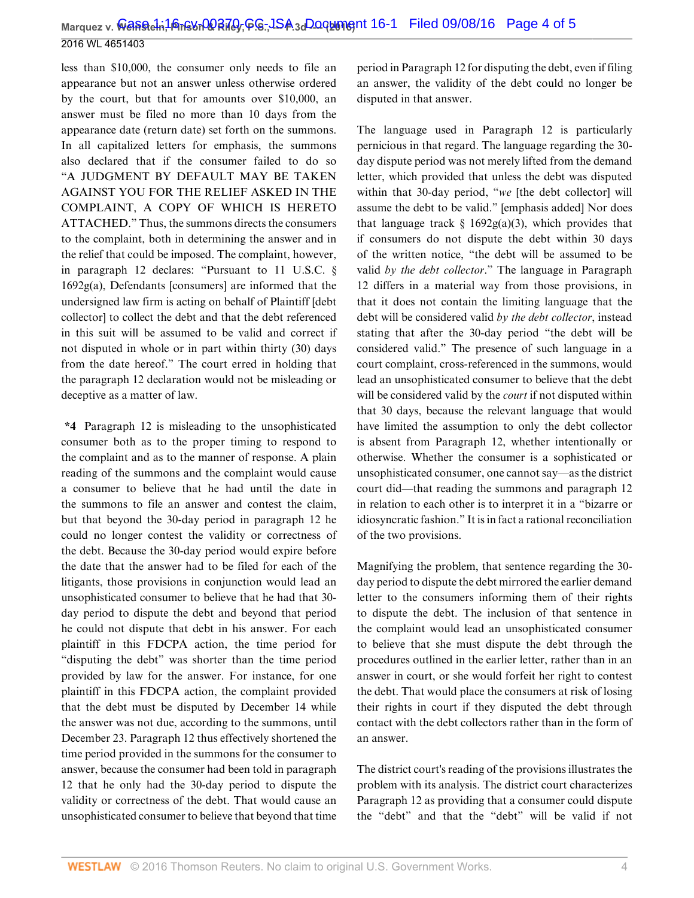less than \$10,000, the consumer only needs to file an appearance but not an answer unless otherwise ordered by the court, but that for amounts over \$10,000, an answer must be filed no more than 10 days from the appearance date (return date) set forth on the summons. In all capitalized letters for emphasis, the summons also declared that if the consumer failed to do so "A JUDGMENT BY DEFAULT MAY BE TAKEN AGAINST YOU FOR THE RELIEF ASKED IN THE COMPLAINT, A COPY OF WHICH IS HERETO ATTACHED." Thus, the summons directs the consumers to the complaint, both in determining the answer and in the relief that could be imposed. The complaint, however, in paragraph 12 declares: "Pursuant to 11 U.S.C. § 1692g(a), Defendants [consumers] are informed that the undersigned law firm is acting on behalf of Plaintiff [debt collector] to collect the debt and that the debt referenced in this suit will be assumed to be valid and correct if not disputed in whole or in part within thirty (30) days from the date hereof." The court erred in holding that the paragraph 12 declaration would not be misleading or deceptive as a matter of law.

**\*4** Paragraph 12 is misleading to the unsophisticated consumer both as to the proper timing to respond to the complaint and as to the manner of response. A plain reading of the summons and the complaint would cause a consumer to believe that he had until the date in the summons to file an answer and contest the claim, but that beyond the 30-day period in paragraph 12 he could no longer contest the validity or correctness of the debt. Because the 30-day period would expire before the date that the answer had to be filed for each of the litigants, those provisions in conjunction would lead an unsophisticated consumer to believe that he had that 30 day period to dispute the debt and beyond that period he could not dispute that debt in his answer. For each plaintiff in this FDCPA action, the time period for "disputing the debt" was shorter than the time period provided by law for the answer. For instance, for one plaintiff in this FDCPA action, the complaint provided that the debt must be disputed by December 14 while the answer was not due, according to the summons, until December 23. Paragraph 12 thus effectively shortened the time period provided in the summons for the consumer to answer, because the consumer had been told in paragraph 12 that he only had the 30-day period to dispute the validity or correctness of the debt. That would cause an unsophisticated consumer to believe that beyond that time period in Paragraph 12 for disputing the debt, even if filing an answer, the validity of the debt could no longer be disputed in that answer.

The language used in Paragraph 12 is particularly pernicious in that regard. The language regarding the 30 day dispute period was not merely lifted from the demand letter, which provided that unless the debt was disputed within that 30-day period, "*we* [the debt collector] will assume the debt to be valid." [emphasis added] Nor does that language track  $\S$  1692g(a)(3), which provides that if consumers do not dispute the debt within 30 days of the written notice, "the debt will be assumed to be valid *by the debt collector*." The language in Paragraph 12 differs in a material way from those provisions, in that it does not contain the limiting language that the debt will be considered valid *by the debt collector*, instead stating that after the 30-day period "the debt will be considered valid." The presence of such language in a court complaint, cross-referenced in the summons, would lead an unsophisticated consumer to believe that the debt will be considered valid by the *court* if not disputed within that 30 days, because the relevant language that would have limited the assumption to only the debt collector is absent from Paragraph 12, whether intentionally or otherwise. Whether the consumer is a sophisticated or unsophisticated consumer, one cannot say—as the district court did—that reading the summons and paragraph 12 in relation to each other is to interpret it in a "bizarre or idiosyncratic fashion." It is in fact a rational reconciliation of the two provisions.

Magnifying the problem, that sentence regarding the 30 day period to dispute the debt mirrored the earlier demand letter to the consumers informing them of their rights to dispute the debt. The inclusion of that sentence in the complaint would lead an unsophisticated consumer to believe that she must dispute the debt through the procedures outlined in the earlier letter, rather than in an answer in court, or she would forfeit her right to contest the debt. That would place the consumers at risk of losing their rights in court if they disputed the debt through contact with the debt collectors rather than in the form of an answer.

The district court's reading of the provisions illustrates the problem with its analysis. The district court characterizes Paragraph 12 as providing that a consumer could dispute the "debt" and that the "debt" will be valid if not